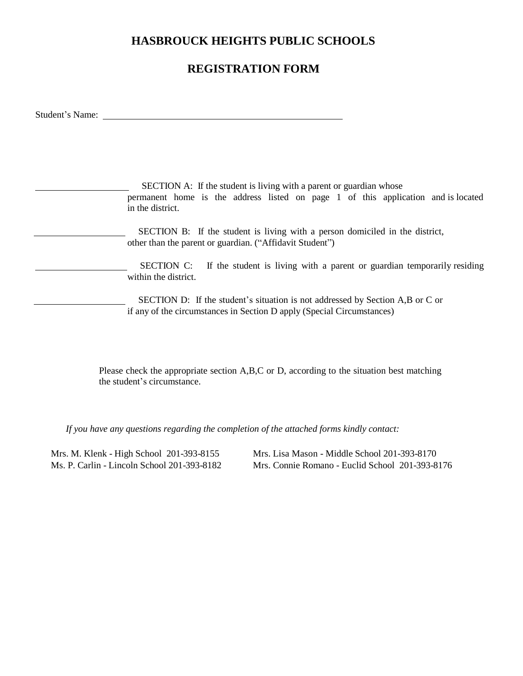## **HASBROUCK HEIGHTS PUBLIC SCHOOLS**

## **REGISTRATION FORM**

Student's Name:

SECTION A: If the student is living with a parent or guardian whose permanent home is the address listed on page 1 of this application and is located in the district. SECTION B: If the student is living with a person domiciled in the district, other than the parent or guardian. ("Affidavit Student") SECTION C: If the student is living with a parent or guardian temporarily residing within the district. SECTION D: If the student's situation is not addressed by Section A,B or C or if any of the circumstances in Section D apply (Special Circumstances)

> Please check the appropriate section A,B,C or D, according to the situation best matching the student's circumstance.

*If you have any questions regarding the completion of the attached forms kindly contact:*

Mrs. M. Klenk - High School 201-393-8155 Mrs. Lisa Mason - Middle School 201-393-8170 Ms. P. Carlin - Lincoln School 201-393-8182 Mrs. Connie Romano - Euclid School 201-393-8176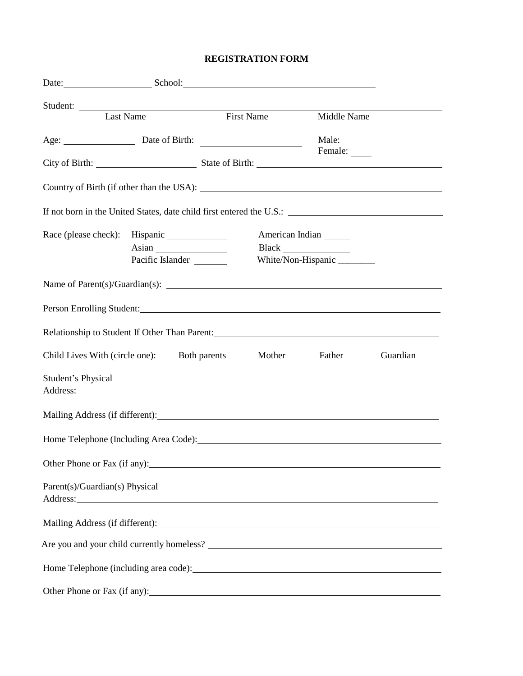## **REGISTRATION FORM**

| Date: School: School:                                                                                                                                                                                                                                            |                  |                            |                 |                         |  |  |
|------------------------------------------------------------------------------------------------------------------------------------------------------------------------------------------------------------------------------------------------------------------|------------------|----------------------------|-----------------|-------------------------|--|--|
|                                                                                                                                                                                                                                                                  |                  |                            |                 |                         |  |  |
| Student:<br>Last Name<br>First Name<br>First Name                                                                                                                                                                                                                |                  |                            |                 | Middle Name             |  |  |
|                                                                                                                                                                                                                                                                  |                  | Age: <u>Date of Birth:</u> |                 | Male: $\_\_$<br>Female: |  |  |
|                                                                                                                                                                                                                                                                  |                  |                            |                 |                         |  |  |
|                                                                                                                                                                                                                                                                  |                  |                            |                 |                         |  |  |
|                                                                                                                                                                                                                                                                  |                  |                            |                 |                         |  |  |
|                                                                                                                                                                                                                                                                  | Pacific Islander |                            | American Indian | White/Non-Hispanic      |  |  |
|                                                                                                                                                                                                                                                                  |                  |                            |                 |                         |  |  |
| Person Enrolling Student:                                                                                                                                                                                                                                        |                  |                            |                 |                         |  |  |
| Relationship to Student If Other Than Parent:                                                                                                                                                                                                                    |                  |                            |                 |                         |  |  |
| <b>Both parents</b><br>Mother<br>Guardian<br>Child Lives With (circle one):<br>Father                                                                                                                                                                            |                  |                            |                 |                         |  |  |
| Student's Physical<br>Address: <u>Address:</u> Address: Address: Address: Address: Address: Address: Address: Address: Address: Address: Address: Address: Address: Address: Address: Address: Address: Address: Address: Address: Address: Address: Addr        |                  |                            |                 |                         |  |  |
|                                                                                                                                                                                                                                                                  |                  |                            |                 |                         |  |  |
|                                                                                                                                                                                                                                                                  |                  |                            |                 |                         |  |  |
| Other Phone or Fax (if any):                                                                                                                                                                                                                                     |                  |                            |                 |                         |  |  |
| Parent(s)/Guardian(s) Physical<br>Address: National Address: National Address: National Address: National Address: National Address: National Address: National Address: National Address: National Address: National Address: National Address: National Addres |                  |                            |                 |                         |  |  |
|                                                                                                                                                                                                                                                                  |                  |                            |                 |                         |  |  |
|                                                                                                                                                                                                                                                                  |                  |                            |                 |                         |  |  |
|                                                                                                                                                                                                                                                                  |                  |                            |                 |                         |  |  |
|                                                                                                                                                                                                                                                                  |                  |                            |                 |                         |  |  |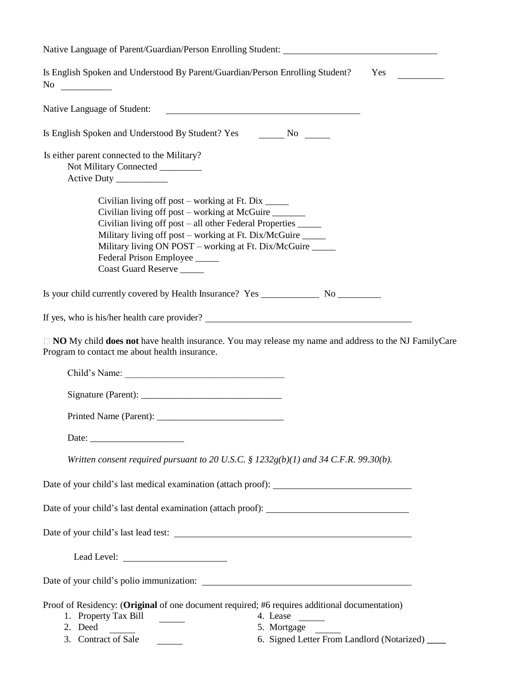| Native Language of Parent/Guardian/Person Enrolling Student:                                                                                                                                                                                                                                                                                                |  |  |  |  |
|-------------------------------------------------------------------------------------------------------------------------------------------------------------------------------------------------------------------------------------------------------------------------------------------------------------------------------------------------------------|--|--|--|--|
| Is English Spoken and Understood By Parent/Guardian/Person Enrolling Student?<br>Yes                                                                                                                                                                                                                                                                        |  |  |  |  |
| Native Language of Student:<br><u> 1989 - Johann Harry Harry Harry Harry Harry Harry Harry Harry Harry Harry Harry Harry Harry Harry Harry Harry</u>                                                                                                                                                                                                        |  |  |  |  |
| Is English Spoken and Understood By Student? Yes _________ No _______                                                                                                                                                                                                                                                                                       |  |  |  |  |
| Is either parent connected to the Military?<br>Not Military Connected ________<br>Active Duty ____________                                                                                                                                                                                                                                                  |  |  |  |  |
| Civilian living off post – working at Ft. Dix _____<br>Civilian living off post – working at McGuire<br>Civilian living off post – all other Federal Properties ______<br>Military living off post – working at Ft. Dix/McGuire _____<br>Military living ON POST – working at Ft. Dix/McGuire _____<br>Federal Prison Employee _____<br>Coast Guard Reserve |  |  |  |  |
|                                                                                                                                                                                                                                                                                                                                                             |  |  |  |  |
|                                                                                                                                                                                                                                                                                                                                                             |  |  |  |  |
| □ NO My child does not have health insurance. You may release my name and address to the NJ FamilyCare<br>Program to contact me about health insurance.                                                                                                                                                                                                     |  |  |  |  |
| Child's Name:                                                                                                                                                                                                                                                                                                                                               |  |  |  |  |
|                                                                                                                                                                                                                                                                                                                                                             |  |  |  |  |
|                                                                                                                                                                                                                                                                                                                                                             |  |  |  |  |
|                                                                                                                                                                                                                                                                                                                                                             |  |  |  |  |
| Written consent required pursuant to 20 U.S.C. § $1232g(b)(1)$ and 34 C.F.R. 99.30(b).                                                                                                                                                                                                                                                                      |  |  |  |  |
| Date of your child's last medical examination (attach proof):                                                                                                                                                                                                                                                                                               |  |  |  |  |
|                                                                                                                                                                                                                                                                                                                                                             |  |  |  |  |
|                                                                                                                                                                                                                                                                                                                                                             |  |  |  |  |
|                                                                                                                                                                                                                                                                                                                                                             |  |  |  |  |
|                                                                                                                                                                                                                                                                                                                                                             |  |  |  |  |
| Proof of Residency: (Original of one document required; #6 requires additional documentation)<br>1. Property Tax Bill<br>4. Lease<br>$\mathcal{L}^{\text{max}}$<br>2. Deed<br>5. Mortgage<br>3. Contract of Sale<br>6. Signed Letter From Landlord (Notarized) ____                                                                                         |  |  |  |  |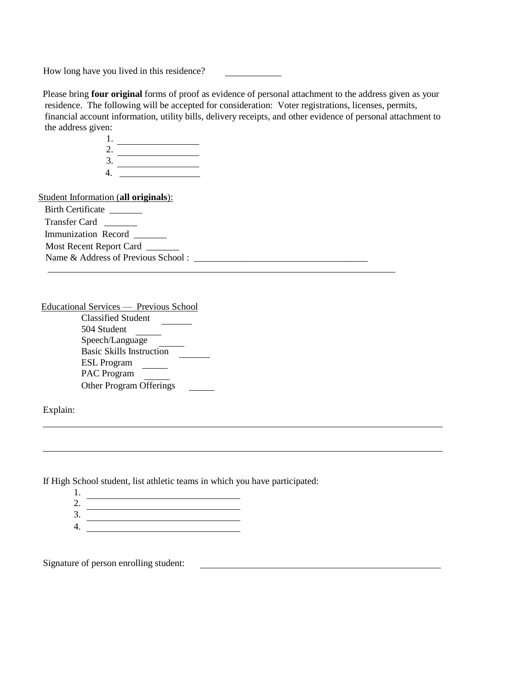How long have you lived in this residence?

Please bring **four original** forms of proof as evidence of personal attachment to the address given as your residence. The following will be accepted for consideration: Voter registrations, licenses, permits, financial account information, utility bills, delivery receipts, and other evidence of personal attachment to the address given:

 $\overline{\phantom{a}}$  , and the contribution of the contribution of the contribution of the contribution of the contribution of the contribution of the contribution of the contribution of the contribution of the contribution of the

1. 2.  $3.$   $\overline{\qquad \qquad }$ 4. \_\_\_\_\_\_\_\_\_\_\_\_\_\_\_\_\_

Student Information (**all originals**):

Birth Certificate Transfer Card \_\_\_\_\_\_\_ Immunization Record \_\_\_\_\_\_\_

Most Recent Report Card \_\_\_\_\_\_

Name & Address of Previous School :

Educational Services — Previous School

| <b>Classified Student</b>       |  |
|---------------------------------|--|
| 504 Student                     |  |
| Speech/Language                 |  |
| <b>Basic Skills Instruction</b> |  |
| <b>ESL</b> Program              |  |
| <b>PAC</b> Program              |  |
| <b>Other Program Offerings</b>  |  |

Explain:

If High School student, list athletic teams in which you have participated:

- 1.
- 2. 3.
- 4.

Signature of person enrolling student: